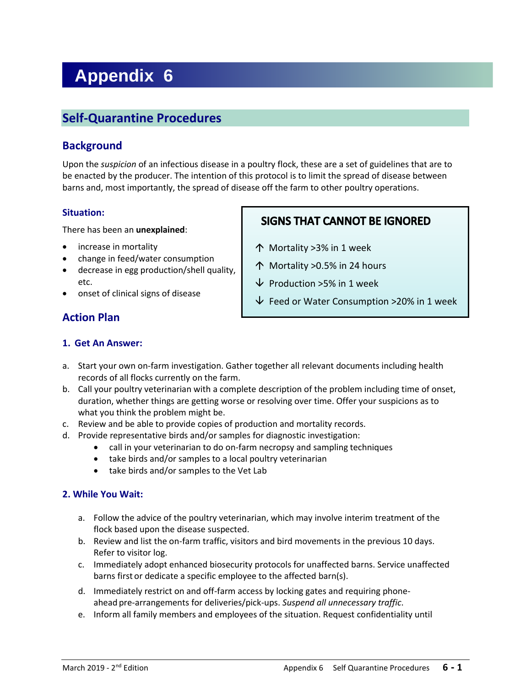# **Appendix 6**

# **Self-Quarantine Procedures**

### **Background**

Upon the *suspicion* of an infectious disease in a poultry flock, these are a set of guidelines that are to be enacted by the producer. The intention of this protocol is to limit the spread of disease between barns and, most importantly, the spread of disease off the farm to other poultry operations.

#### **Situation:**

There has been an **unexplained**:

- increase in mortality
- change in feed/water consumption
- decrease in egg production/shell quality, etc.
- onset of clinical signs of disease

## **Action Plan**

## **SIGNS THAT CANNOT BE IGNORED**

- Mortality >3% in 1 week
- Mortality >0.5% in 24 hours
- $\overline{\mathsf{V}}$  Production >5% in 1 week
- $\overline{\triangledown}$  Feed or Water Consumption >20% in 1 week

#### **1. Get An Answer:**

- a. Start your own on-farm investigation. Gather together all relevant documents including health records of all flocks currently on the farm.
- b. Call your poultry veterinarian with a complete description of the problem including time of onset, duration, whether things are getting worse or resolving over time. Offer your suspicions as to what you think the problem might be.
- c. Review and be able to provide copies of production and mortality records.
- d. Provide representative birds and/or samples for diagnostic investigation:
	- call in your veterinarian to do on-farm necropsy and sampling techniques
	- take birds and/or samples to a local poultry veterinarian
	- take birds and/or samples to the Vet Lab

#### **2. While You Wait:**

- a. Follow the advice of the poultry veterinarian, which may involve interim treatment of the flock based upon the disease suspected.
- b. Review and list the on-farm traffic, visitors and bird movements in the previous 10 days. Refer to visitor log.
- c. Immediately adopt enhanced biosecurity protocols for unaffected barns. Service unaffected barns first or dedicate a specific employee to the affected barn(s).
- d. Immediately restrict on and off-farm access by locking gates and requiring phoneahead pre-arrangements for deliveries/pick-ups. *Suspend all unnecessary traffic*.
- e. Inform all family members and employees of the situation. Request confidentiality until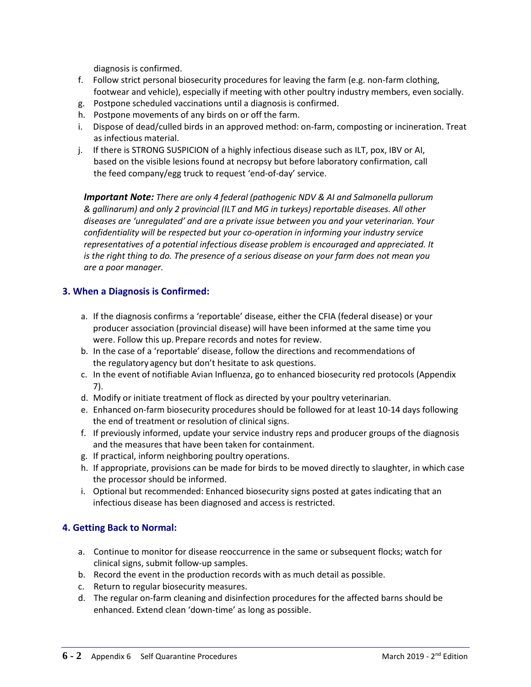diagnosis is confirmed.

- f. Follow strict personal biosecurity procedures for leaving the farm (e.g. non-farm clothing, footwear and vehicle), especially if meeting with other poultry industry members, even socially.
- g. Postpone scheduled vaccinations until a diagnosis is confirmed.
- h. Postpone movements of any birds on or off the farm.
- i. Dispose of dead/culled birds in an approved method: on-farm, composting or incineration. Treat as infectious material.
- j. If there is STRONG SUSPICION of a highly infectious disease such as ILT, pox, IBV or AI, based on the visible lesions found at necropsy but before laboratory confirmation, call the feed company/egg truck to request 'end-of-day' service.

*Important Note: There are only 4 federal (pathogenic NDV & AI and Salmonella pullorum & gallinarum) and only 2 provincial (ILT and MG in turkeys) reportable diseases. All other diseases are 'unregulated' and are a private issue between you and your veterinarian. Your confidentiality will be respected but your co-operation in informing your industry service representatives of a potential infectious disease problem is encouraged and appreciated. It is the right thing to do. The presence of a serious disease on your farm does not mean you are a poor manager.*

#### **3. When a Diagnosis is Confirmed:**

- a. If the diagnosis confirms a 'reportable' disease, either the CFIA (federal disease) or your producer association (provincial disease) will have been informed at the same time you were. Follow this up. Prepare records and notes for review.
- b. In the case of a 'reportable' disease, follow the directions and recommendations of the regulatory agency but don't hesitate to ask questions.
- c. In the event of notifiable Avian Influenza, go to enhanced biosecurity red protocols (Appendix 7).
- d. Modify or initiate treatment of flock as directed by your poultry veterinarian.
- e. Enhanced on-farm biosecurity procedures should be followed for at least 10-14 days following the end of treatment or resolution of clinical signs.
- f. If previously informed, update your service industry reps and producer groups of the diagnosis and the measures that have been taken for containment.
- g. If practical, inform neighboring poultry operations.
- h. If appropriate, provisions can be made for birds to be moved directly to slaughter, in which case the processor should be informed.
- i. Optional but recommended: Enhanced biosecurity signs posted at gates indicating that an infectious disease has been diagnosed and access is restricted.

#### **4. Getting Back to Normal:**

- a. Continue to monitor for disease reoccurrence in the same or subsequent flocks; watch for clinical signs, submit follow-up samples.
- b. Record the event in the production records with as much detail as possible.
- c. Return to regular biosecurity measures.
- d. The regular on-farm cleaning and disinfection procedures for the affected barns should be enhanced. Extend clean 'down-time' as long as possible.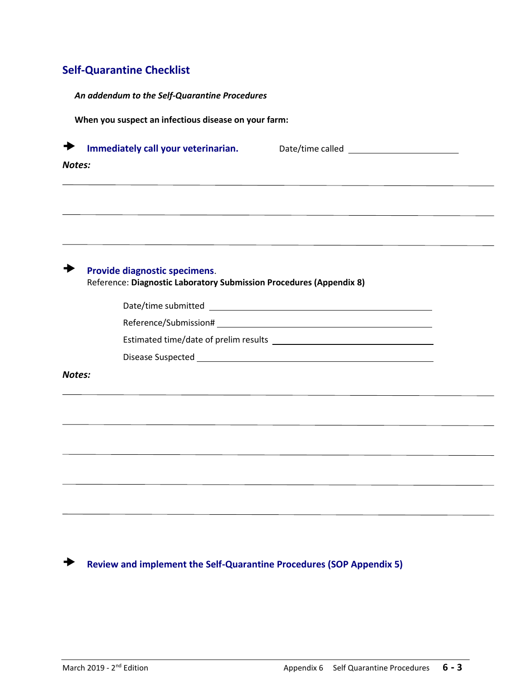## **Self-Quarantine Checklist**

| An addendum to the Self-Quarantine Procedures |                                                                                                      |                                                                                                                                                                                                     |
|-----------------------------------------------|------------------------------------------------------------------------------------------------------|-----------------------------------------------------------------------------------------------------------------------------------------------------------------------------------------------------|
|                                               | When you suspect an infectious disease on your farm:                                                 |                                                                                                                                                                                                     |
| Notes:                                        | Immediately call your veterinarian.                                                                  |                                                                                                                                                                                                     |
|                                               |                                                                                                      | ,他们的人们就是一个人的人,他们的人们就是一个人的人,他们的人们就是一个人的人,他们的人们就是一个人的人,他们的人们就是一个人的人,他们的人们的人们,他们的人们<br>the contract of the contract of the contract of the contract of the contract of the contract of the contract of |
|                                               | Provide diagnostic specimens.<br>Reference: Diagnostic Laboratory Submission Procedures (Appendix 8) |                                                                                                                                                                                                     |
|                                               |                                                                                                      |                                                                                                                                                                                                     |
|                                               |                                                                                                      |                                                                                                                                                                                                     |
|                                               |                                                                                                      |                                                                                                                                                                                                     |
|                                               |                                                                                                      |                                                                                                                                                                                                     |
| Notes:                                        |                                                                                                      |                                                                                                                                                                                                     |
|                                               |                                                                                                      |                                                                                                                                                                                                     |
|                                               |                                                                                                      | <u> 1989 - Johann John Stone, markin sanadi amerikan bahasa yang berasal dalam berasal dalam berasal dalam berasa</u>                                                                               |
|                                               |                                                                                                      |                                                                                                                                                                                                     |
|                                               |                                                                                                      |                                                                                                                                                                                                     |
|                                               |                                                                                                      |                                                                                                                                                                                                     |
|                                               |                                                                                                      |                                                                                                                                                                                                     |
|                                               |                                                                                                      |                                                                                                                                                                                                     |
|                                               |                                                                                                      |                                                                                                                                                                                                     |

**Review and implement the Self-Quarantine Procedures (SOP Appendix 5)**